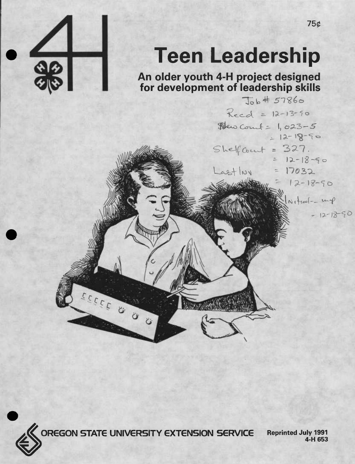

# **Teen Leadership**

**An older youth 4-H project designed**

**for development of leadership skills**  $R_{red} = 12 - 13 - 50$ Dew Count = 1,023-5  $-12-18-50$  $SheffCount = 327.$ <br>= 12-18-50 Lastlivy  $17032$  $12 - 18 - 50$  $N_{t}$ tral - mp  $-12-18-90$ 



**OREGON STATE UNIVERSITY EXTENSION SERVICE Reprinted July <sup>1991</sup>**

**4-H 653**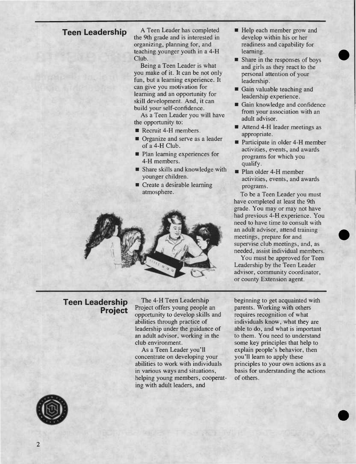**Teen Leadership** <sup>A</sup> Teen Leader has completed the 9th grade and is interested in organizing, planning for, and teaching younger youth in a 4-H Club.

> Being a Teen Leader is what you make of it. It can be not only fun, but a learning experience. It can give you motivation for learning and an opportunity for skill development. And, it can build your self-confidence.

As a Teen Leader you will have the opportunity to:

- $\blacksquare$  Recruit 4-H members.
- **Organize and serve as a leader** of a 4-H Club.
- **Plan learning experiences for** 4-H members.
- Share skills and knowledge with younger children.
- Create a desirable learning atmosphere.



# **Teen Leadership Project**

The 4-H Teen Leadership Project offers young people an opportunity to develop skills and abilities through practice of leadership under the guidance of an adult advisor, working in the club environment.

As a Teen Leader you'll concentrate on developing your abilities to work with individuals in various ways and situations, helping young members, cooperating with adult leaders, and

- Help each member grow and develop within his or her readiness and capability for learning.
- Share in the responses of boys and girls as they react to the personal attention of your leadership.
- Gain valuable teaching and leadership experience.
- Gain knowledge and confidence from your association with an adult advisor.
- Attend 4-H leader meetings as appropriate.
- Participate in older 4-H member activities, events, and awards programs for which you qualify.
- Plan older 4-H member activities, events, and awards programs.

To be a Teen Leader you must have completed at least the 9th grade. You may or may not have had previous 4-H experience. You need to have time to consult with an adult advisor, attend training meetings, prepare for and supervise club meetings, and, as needed, assist individual members.

You must be approved for Teen Leadership by the Teen Leader advisor, community coordinator, or county Extension agent.

beginning to get acquainted with parents. Working with others requires recognition of what individuals know, what they are able to do, and what is important to them. You need to understand some key principles that help to explain people's behavior, then you'll learn to apply these principles to your own actions as a basis for understanding the actions of others.

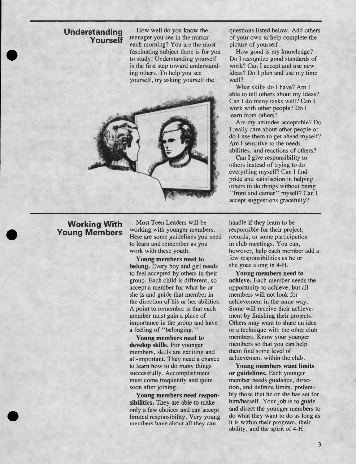#### **Understanding Yourself**

How well do you know the teenager you see in the mirror each morning? You are the most fascinating subject there is for you to study! Understanding yourself is the first step toward understanding others. To help you see yourself, try asking yourself the



# **Working With Young Members**

Most Teen Leaders will be working with younger members. Here are some guidelines you need to learn and remember as you work with these youth.

**Young members need to belong.** Every boy and girl needs to feel accepted by others in their group. Each child is different, so accept a member for what he or she is and guide that member in the direction of his or her abilities. A point to remember is that each member must gain a place of importance in the group and have a feeling of "belonging."

**Young members need to develop skills.** For younger members, skills are exciting and all-important. They need a chance to learn how to do many things successfully. Accomplishment must come frequently and quite soon after joining.

**Young members need responsibilities.** They are able to make only a few choices and can accept limited responsibility. Very young members have about all they can

questions listed below. Add others of your own to help complete the picture of yourself.

How good is my knowledge? Do I recognize good standards of work? Can I accept and use new ideas? Do I plan and use my time well?

What skills do I have? Am I able to tell others about my ideas? Can I do many tasks well? Can I work with other people? Do I learn from others?

Are my attitudes acceptable? Do I really care about other people or do I use them to get ahead myself? Am I sensitive to the needs, abilities, and reactions of others?

Can I give responsibility to others instead of trying to do everything myself? Can I find pride and satisfaction in helping others to do things without being "front and center" myself? Can I accept suggestions gracefully?

handle if they learn to be responsible for their project, records, or some participation in club meetings. You can, however, help each member add a few responsibilities as he or she goes along in 4-H.

**Young members need to achieve.** Each member needs the opportunity to achieve, but all members will not look for achievement in the same way. Some will receive their achievement by finishing their projects. Others may want to share an idea or a technique with the other club members. Know your younger members so that you can help them find some level of achievement within the club.

**Young members want limits or guidelines.** Each younger member needs guidance, direction, and definite limits, preferably those that he or she has set for him/herself. Your job is to guide and direct the younger members to do what they want to do as long as it is within their program, their ability, and the spirit of 4-H.

3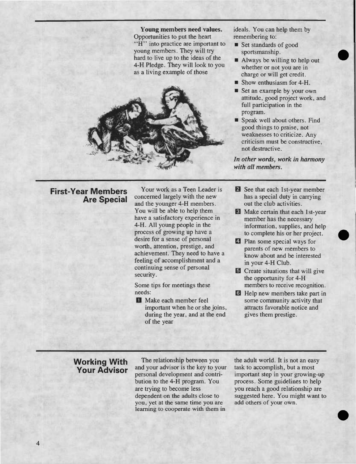



ideals. You can help them by remembering to:

- Set standards of good sportsmanship.
- Always be willing to help out whether or not you are in charge or will get credit.
- Show enthusiasm for 4-H.
- Set an example by your own attitude, good project work, and full participation in the program.
- Speak well about others. Find good things to praise, not weaknesses to criticize. Any criticism must be constructive, not destructive.

*In other words, work in harmony with all members.*

# **First-Year Members Are Special**

Your work as a Teen Leader is concerned largely with the new and the younger 4-H members. You will be able to help them have a satisfactory experience in 4-H. All young people in the process of growing up have a desire for a sense of personal worth, attention, prestige, and achievement. They need to have a feeling of accomplishment and a continuing sense of personal security.

Some tips for meetings these needs:

**D** Make each member feel important when he or she joins, during the year, and at the end of the year

- *B* See that each 1st-year member has a special duty in carrying out the club activities.
- B Make certain that each Ist-year member has the necessary information, supplies, and help to complete his or her project.
- Q Plan some special ways for parents of new members to know about and be interested in your 4-H Club.
- **B** Create situations that will give the opportunity for 4-H members to receive recognition.
- **El Help new members take part in** some community activity that attracts favorable notice and gives them prestige.

# **Working With Your Advisor**

 $\overline{\mathbf{4}}$ 

The relationship between you and your advisor is the key to your personal development and contribution to the 4-H program. You are trying to become less dependent on the adults close to you, yet at the same time you are learning to cooperate with them in

the adult world. It is not an easy task to accomplish, but a most important step in your growing-up process. Some guidelines to help you reach a good relationship are suggested here. You might want to add others of your own.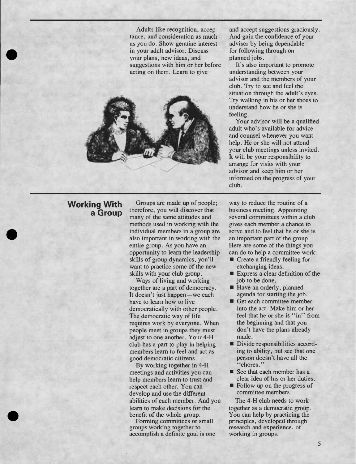Adults like recognition, acceptance, and consideration as much as you do. Show genuine interest in your adult advisor. Discuss your plans, new ideas, and suggestions with him or her before acting on them. Learn to give



and accept suggestions graciously. And gain the confidence of your advisor by being dependable for following through on planned jobs.

It's also important to promote understanding between your advisor and the members of your club. Try to see and feel the situation through the adult's eyes. Try walking in his or her shoes to understand how he or she is feeling.

Your advisor will be a qualified adult who's available for advice and counsel whenever you want help. He or she will not attend your club meetings unless invited. It will be your responsibility to arrange for visits with your advisor and keep him or her informed on the progress of your club.

# **Working With a Group**

Groups are made up of people; therefore, you will discover that many of the same attitudes and methods used in working with the individual members in a group are also important in working with the entire group. As you have an opportunity to learn the leadership skills of group dynamics, you'll want to practice some of the new skills with your club group.

Ways of living and working together are a part of democracy. It doesn't just happen—we each have to learn how to live democratically with other people. The democratic way of life requires work by everyone. When people meet in groups they must adjust to one another. Your 4-H club has a part to play in helping members learn to feel and act as good democratic citizens.

By working together in 4-H meetings and activities you can help members learn to trust and respect each other. You can develop and use the different abilities of each member. And you learn to make decisions for the benefit of the whole group.

Forming committees or small groups working together to accomplish a definite goal is one

way to reduce the routine of a business meeting. Appointing several committees within a club gives each member a chance to serve and to feel that he or she is an important part of the group. Here are some of the things you can do to help a committee work:

- Create a friendly feeling for exchanging ideas.
- Express a clear definition of the job to be done.
- Have an orderly, planned agenda for starting the job.
- Get each committee member into the act. Make him or her feel that he or she is "in" from the beginning and that you don't have the plans already made.
- Divide responsibilities accord- $\blacksquare$ ing to ability, but see that one person doesn't have all the "chores."
- See that each member has a clear idea of his or her duties.
- **Follow up on the progress of** committee members.

The 4-H club needs to work together as a democratic group. You can help by practicing the principles, developed through research and experience, of working in groups.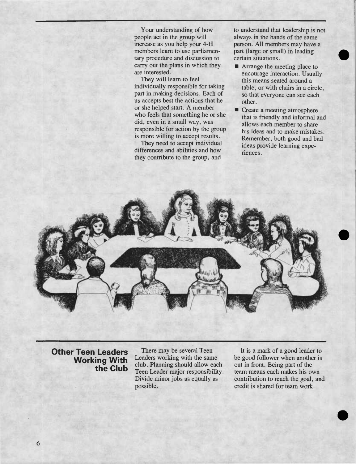Your understanding of how people act in the group will increase as you help your 4-H members learn to use parliamentary procedure and discussion to carry out the plans in which they are interested.

They will learn to feel individually responsible for taking part in making decisions. Each of us accepts best the actions that he or she helped start. A member who feels that something he or she did, even in a small way, was responsible for action by the group is more willing to accept results.

They need to accept individual differences and abilities and how they contribute to the group, and

to understand that leadership is not always in the hands of the same person. All members may have a part (large or small) in leading certain situations.

- **Arrange the meeting place to** encourage interaction. Usually this means seated around a table, or with chairs in a circle, so that everyone can see each other.
- Create a meeting atmosphere that is friendly and informal and allows each member to share his ideas and to make mistakes. Remember, both good and bad ideas provide learning experiences.



**Other Teen Leaders Working With the Club**

There may be several Teen Leaders working with the same club. Planning should allow each Teen Leader major responsibility. Divide minor jobs as equally as possible.

It is a mark of a good leader to be good follower when another is out in front. Being part of the team means each makes his own contribution to reach the goal, and credit is shared for team work.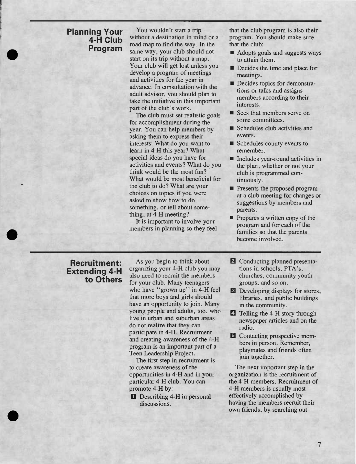#### **Planning Your 4-H Club Program**

You wouldn't start a trip without a destination in mind or a road map to find the way. In the same way, your club should not start on its trip without a map. Your club will get lost unless you develop a program of meetings and activities for the year in advance. In consultation with the adult advisor, you should plan to take the initiative in this important part of the club's work.

The club must set realistic goals for accomplishment during the year. You can help members by asking them to express their interests: What do you want to learn in 4-H this year? What special ideas do you have for activities and events? What do you think would be the most fun? What would be most beneficial for the club to do? What are your choices on topics if you were asked to show how to do something, or tell about something, at 4-H meeting?

It is important to involve your members in planning so they feel that the club program is also their program. You should make sure that the club:

- Adopts goals and suggests ways to attain them.
- Decides the time and place for meetings.
- Decides topics for demonstrations or talks and assigns members according to their interests.
- Sees that members serve on some committees.
- Schedules club activities and events.
- Schedules county events to remember.
- Includes year-round activities in the plan, whether or not your club is programmed continuously.
- **Presents the proposed program** at a club meeting for changes or suggestions by members and parents.
- **Prepares a written copy of the** program and for each of the families so that the parents become involved.

# **Recruitment: Extending 4-H to Others**

As you begin to think about organizing your 4-H club you may also need to recruit the members for your club. Many teenagers who have "grown up" in 4-H feel that more boys and girls should have an opportunity to join. Many young people and adults, too, who live in urban and suburban areas do not realize that they can participate in 4-H. Recruitment and creating awareness of the 4-H program is an important part of a Teen Leadership Project.

The first step in recruitment is to create awareness of the opportunities in 4-H and in your particular 4-H club. You can promote 4-H by:

Describing 4-H in personal discussions.

- *B* Conducting planned presentations in schools, PTA's, churches, community youth groups, and so on.
- E] Developing displays for stores, libraries, and public buildings in the community.
- **4** Telling the 4-H story through newspaper articles and on the radio.
- El Contacting prospective members in person. Remember, playmates and friends often join together.

The next important step in the organization is the recruitment of the 4-H members. Recruitment of 4-H members is usually most effectively accomplished by having the members recruit their own friends, by searching out